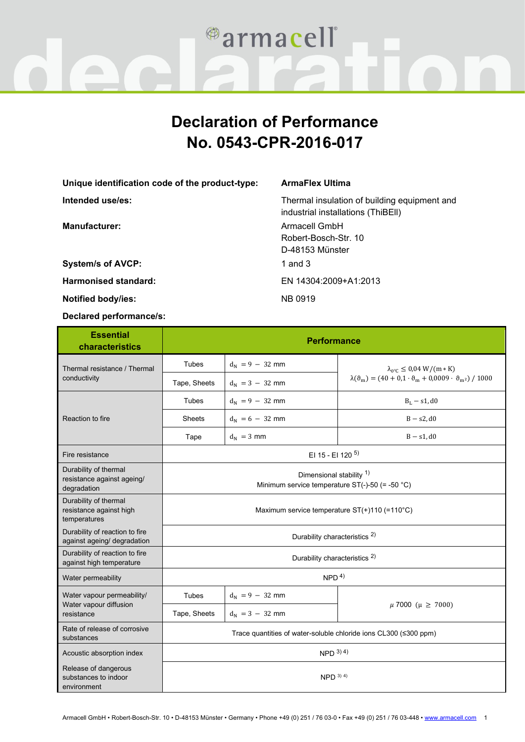

## **Declaration of Performance No. 0543-CPR-2016-017**

**Unique identification code of the product-type: ArmaFlex Ultima Intended use/es:** Thermal insulation of building equipment and

**System/s of AVCP:** 1 and 3

**Harmonised standard:** EN 14304:2009+A1:2013

**Notified body/ies:** NB 0919

**Declared performance/s:**

## **Essential characteristics Performance** Thermal resistance / Thermal conductivity Tubes  $d_N = 9 - 32$  mm  $\lambda_{0^\circ C} \le 0.04$  W/(m  $*$  K) Tape, Sheets  $d_N = 3 - 32$  mm  $\lambda(\theta_m) = (40 + 0.1 \cdot \theta_m + 0.0009 \cdot \theta_{m^2}) / 1000$ Reaction to fire Tubes  $d_N = 9 - 32$  mm B<sub>L</sub> − s1, d0 Sheets  $d_N = 6 - 32$  mm B − s2, d0 Tape  $d_N = 3$  mm B − s1, d0 Fire resistance **EI 15 - EI 120<sup>5)</sup>** Durability of thermal resistance against ageing/ degradation Dimensional stability <sup>1)</sup> Minimum service temperature ST(-)-50 (= -50 °C) Durability of thermal resistance against high temperatures Maximum service temperature ST(+)110 (=110°C) Durability of reaction to fire but abundly of reaction to fire<br>against ageing/ degradation Durability of reaction to fire Durability of reaction to fire<br>against high temperature Water permeability NPD 4) Water vapour permeability/ Water vapour diffusion resistance Tubes  $\begin{vmatrix} d_N = 9 - 32 \text{ mm} \end{vmatrix}$  $\mu$  7000 ( $\mu \ge 7000$ ) Tape, Sheets  $d_N = 3 - 32$  mm Rate of release of corrosive Rate of refease of corrosive<br>substances Trace quantities of water-soluble chloride ions CL300 (≤300 ppm) Acoustic absorption index  $\sqrt{N}}$   $\sqrt{N}}$   $\sqrt{N}}$   $\sqrt{N}}$   $\sqrt{N}}$   $\sqrt{N}}$   $\sqrt{N}}$   $\sqrt{N}}$   $\sqrt{N}}$   $\sqrt{N}}$   $\sqrt{N}}$   $\sqrt{N}}$   $\sqrt{N}}$   $\sqrt{N}}$   $\sqrt{N}}$   $\sqrt{N}}$   $\sqrt{N}}$   $\sqrt{N}}$   $\sqrt{N}}$   $\sqrt{N}}$   $\sqrt{N}}$   $\sqrt{N}}$   $\sqrt{N}}$   $\sqrt{N}}$   $\sqrt$ Release of dangerous substances to indoor environment  $NPD$  3) 4)

industrial installations (ThiBEll)

**Manufacturer:** Armacell GmbH Robert-Bosch-Str. 10 D-48153 Münster